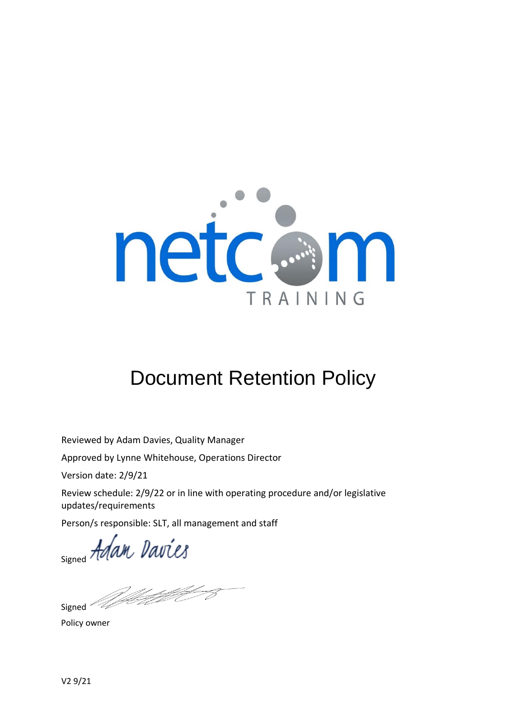

# Document Retention Policy

Reviewed by Adam Davies, Quality Manager

Approved by Lynne Whitehouse, Operations Director

Version date: 2/9/21

Review schedule: 2/9/22 or in line with operating procedure and/or legislative updates/requirements

Person/s responsible: SLT, all management and staff

signed Adam Davies

Westfilm 2

Signed<sup>-</sup>

Policy owner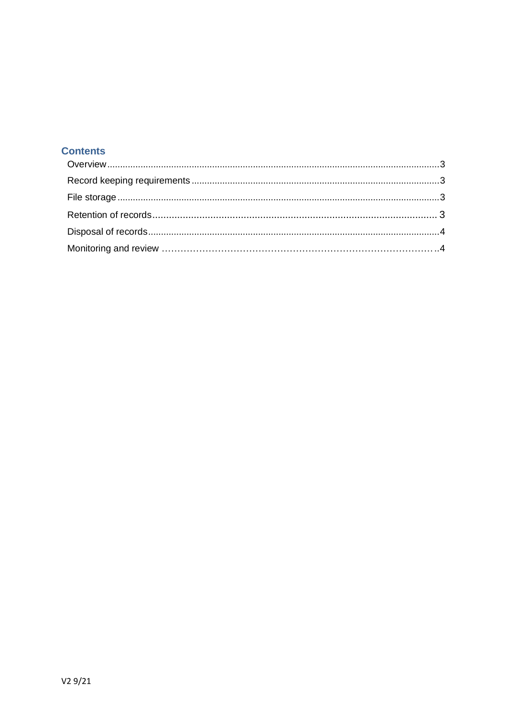## **Contents**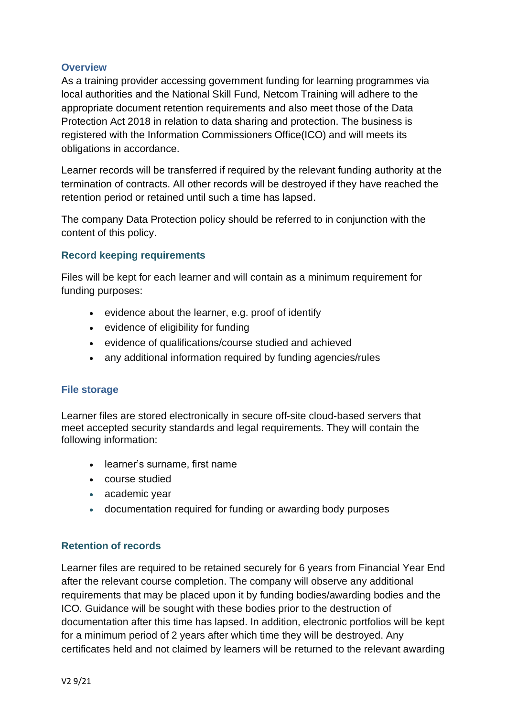## <span id="page-2-0"></span>**Overview**

As a training provider accessing government funding for learning programmes via local authorities and the National Skill Fund, Netcom Training will adhere to the appropriate document retention requirements and also meet those of the Data Protection Act 2018 in relation to data sharing and protection. The business is registered with the Information Commissioners Office(ICO) and will meets its obligations in accordance.

Learner records will be transferred if required by the relevant funding authority at the termination of contracts. All other records will be destroyed if they have reached the retention period or retained until such a time has lapsed.

The company Data Protection policy should be referred to in conjunction with the content of this policy.

#### **Record keeping requirements**

Files will be kept for each learner and will contain as a minimum requirement for funding purposes:

- evidence about the learner, e.g. proof of identify
- evidence of eligibility for funding
- evidence of qualifications/course studied and achieved
- any additional information required by funding agencies/rules

#### **File storage**

Learner files are stored electronically in secure off-site cloud-based servers that meet accepted security standards and legal requirements. They will contain the following information:

- learner's surname, first name
- course studied
- academic year
- documentation required for funding or awarding body purposes

## **Retention of records**

Learner files are required to be retained securely for 6 years from Financial Year End after the relevant course completion. The company will observe any additional requirements that may be placed upon it by funding bodies/awarding bodies and the ICO. Guidance will be sought with these bodies prior to the destruction of documentation after this time has lapsed. In addition, electronic portfolios will be kept for a minimum period of 2 years after which time they will be destroyed. Any certificates held and not claimed by learners will be returned to the relevant awarding